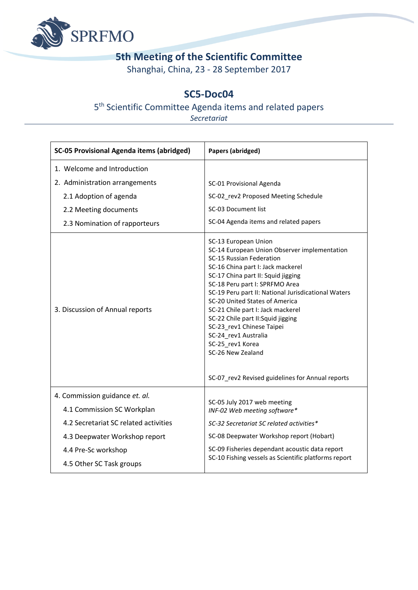

## **5th Meeting of the Scientific Committee**

Shanghai, China, 23 - 28 September 2017

## **SC5-Doc04**

## 5<sup>th</sup> Scientific Committee Agenda items and related papers

*Secretariat*

| <b>SC-05 Provisional Agenda items (abridged)</b> | Papers (abridged)                                                                                                                                                                                                                                                                                                                                                                                                                                                               |
|--------------------------------------------------|---------------------------------------------------------------------------------------------------------------------------------------------------------------------------------------------------------------------------------------------------------------------------------------------------------------------------------------------------------------------------------------------------------------------------------------------------------------------------------|
| 1. Welcome and Introduction                      |                                                                                                                                                                                                                                                                                                                                                                                                                                                                                 |
| 2. Administration arrangements                   | SC-01 Provisional Agenda                                                                                                                                                                                                                                                                                                                                                                                                                                                        |
| 2.1 Adoption of agenda                           | SC-02 rev2 Proposed Meeting Schedule                                                                                                                                                                                                                                                                                                                                                                                                                                            |
| 2.2 Meeting documents                            | SC-03 Document list                                                                                                                                                                                                                                                                                                                                                                                                                                                             |
| 2.3 Nomination of rapporteurs                    | SC-04 Agenda items and related papers                                                                                                                                                                                                                                                                                                                                                                                                                                           |
| 3. Discussion of Annual reports                  | SC-13 European Union<br>SC-14 European Union Observer implementation<br>SC-15 Russian Federation<br>SC-16 China part I: Jack mackerel<br>SC-17 China part II: Squid jigging<br>SC-18 Peru part I: SPRFMO Area<br>SC-19 Peru part II: National Jurisdicational Waters<br>SC-20 United States of America<br>SC-21 Chile part I: Jack mackerel<br>SC-22 Chile part II: Squid jigging<br>SC-23 rev1 Chinese Taipei<br>SC-24_rev1 Australia<br>SC-25 rev1 Korea<br>SC-26 New Zealand |
|                                                  | SC-07_rev2 Revised guidelines for Annual reports                                                                                                                                                                                                                                                                                                                                                                                                                                |
| 4. Commission guidance et. al.                   | SC-05 July 2017 web meeting                                                                                                                                                                                                                                                                                                                                                                                                                                                     |
| 4.1 Commission SC Workplan                       | INF-02 Web meeting software*                                                                                                                                                                                                                                                                                                                                                                                                                                                    |
| 4.2 Secretariat SC related activities            | SC-32 Secretariat SC related activities*                                                                                                                                                                                                                                                                                                                                                                                                                                        |
| 4.3 Deepwater Workshop report                    | SC-08 Deepwater Workshop report (Hobart)                                                                                                                                                                                                                                                                                                                                                                                                                                        |
| 4.4 Pre-Sc workshop                              | SC-09 Fisheries dependant acoustic data report<br>SC-10 Fishing vessels as Scientific platforms report                                                                                                                                                                                                                                                                                                                                                                          |
| 4.5 Other SC Task groups                         |                                                                                                                                                                                                                                                                                                                                                                                                                                                                                 |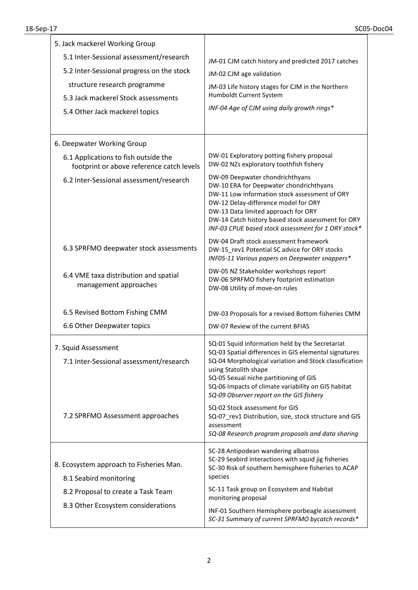| 5. Jack mackerel Working Group<br>5.1 Inter-Sessional assessment/research<br>5.2 Inter-Sessional progress on the stock<br>structure research programme<br>5.3 Jack mackerel Stock assessments<br>5.4 Other Jack mackerel topics | JM-01 CJM catch history and predicted 2017 catches<br>JM-02 CJM age validation<br>JM-03 Life history stages for CJM in the Northern<br>Humboldt Current System<br>INF-04 Age of CJM using daily growth rings*                                                                                                                            |
|---------------------------------------------------------------------------------------------------------------------------------------------------------------------------------------------------------------------------------|------------------------------------------------------------------------------------------------------------------------------------------------------------------------------------------------------------------------------------------------------------------------------------------------------------------------------------------|
| 6. Deepwater Working Group                                                                                                                                                                                                      |                                                                                                                                                                                                                                                                                                                                          |
| 6.1 Applications to fish outside the<br>footprint or above reference catch levels                                                                                                                                               | DW-01 Exploratory potting fishery proposal<br>DW-02 NZs exploratory toothfish fishery                                                                                                                                                                                                                                                    |
| 6.2 Inter-Sessional assessment/research                                                                                                                                                                                         | DW-09 Deepwater chondrichthyans<br>DW-10 ERA for Deepwater chondrichthyans<br>DW-11 Low information stock assessment of ORY<br>DW-12 Delay-difference model for ORY<br>DW-13 Data limited approach for ORY<br>DW-14 Catch history based stock assessment for ORY<br>INF-03 CPUE based stock assessment for 1 ORY stock*                  |
| 6.3 SPRFMO deepwater stock assessments                                                                                                                                                                                          | DW-04 Draft stock assessment framework<br>DW-15_rev1 Potential SC advice for ORY stocks<br>INF05-11 Various papers on Deepwater snappers*                                                                                                                                                                                                |
| 6.4 VME taxa distribution and spatial<br>management approaches                                                                                                                                                                  | DW-05 NZ Stakeholder workshops report<br>DW-06 SPRFMO fishery footprint estimation<br>DW-08 Utility of move-on rules                                                                                                                                                                                                                     |
| 6.5 Revised Bottom Fishing CMM                                                                                                                                                                                                  | DW-03 Proposals for a revised Bottom fisheries CMM                                                                                                                                                                                                                                                                                       |
| 6.6 Other Deepwater topics                                                                                                                                                                                                      | DW-07 Review of the current BFIAS                                                                                                                                                                                                                                                                                                        |
| 7. Squid Assessment<br>7.1 Inter-Sessional assessment/research                                                                                                                                                                  | SQ-01 Squid information held by the Secretariat<br>SQ-03 Spatial differences in GIS elemental signatures<br>SQ-04 Morphological variation and Stock classification<br>using Statolith shape<br>SQ-05 Sexual niche partitioning of GIS<br>SQ-06 Impacts of climate variability on GIS habitat<br>SQ-09 Observer report on the GIS fishery |
| 7.2 SPRFMO Assessment approaches                                                                                                                                                                                                | SQ-02 Stock assessment for GIS<br>SQ-07_rev1 Distribution, size, stock structure and GIS<br>assessment<br>SQ-08 Research program proposals and data sharing                                                                                                                                                                              |
| 8. Ecosystem approach to Fisheries Man.<br>8.1 Seabird monitoring                                                                                                                                                               | SC-28 Antipodean wandering albatross<br>SC-29 Seabird interactions with squid jig fisheries<br>SC-30 Risk of southern hemisphere fisheries to ACAP<br>species                                                                                                                                                                            |
| 8.2 Proposal to create a Task Team                                                                                                                                                                                              | SC-11 Task group on Ecosystem and Habitat<br>monitoring proposal                                                                                                                                                                                                                                                                         |
| 8.3 Other Ecosystem considerations                                                                                                                                                                                              | INF-01 Southern Hemisphere porbeagle assessment<br>SC-31 Summary of current SPRFMO bycatch records*                                                                                                                                                                                                                                      |